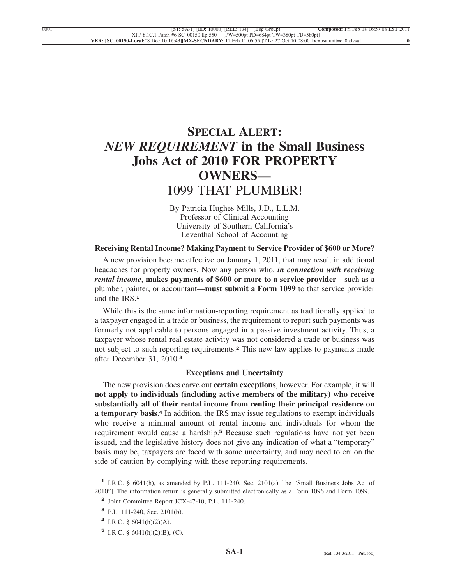# **SPECIAL ALERT:** *NEW REQUIREMENT* **in the Small Business Jobs Act of 2010 FOR PROPERTY OWNERS**— 1099 THAT PLUMBER!

By Patricia Hughes Mills, J.D., L.L.M. Professor of Clinical Accounting University of Southern California's Leventhal School of Accounting

## **Receiving Rental Income? Making Payment to Service Provider of \$600 or More?**

A new provision became effective on January 1, 2011, that may result in additional headaches for property owners. Now any person who, *in connection with receiving rental income*, **makes payments of \$600 or more to a service provider**—such as a plumber, painter, or accountant—**must submit a Form 1099** to that service provider and the IRS<sup>1</sup>

While this is the same information-reporting requirement as traditionally applied to a taxpayer engaged in a trade or business, the requirement to report such payments was formerly not applicable to persons engaged in a passive investment activity. Thus, a taxpayer whose rental real estate activity was not considered a trade or business was not subject to such reporting requirements.**<sup>2</sup>** This new law applies to payments made after December 31, 2010.**<sup>3</sup>**

## **Exceptions and Uncertainty**

The new provision does carve out **certain exceptions**, however. For example, it will **not apply to individuals (including active members of the military) who receive substantially all of their rental income from renting their principal residence on a temporary basis**. **<sup>4</sup>** In addition, the IRS may issue regulations to exempt individuals who receive a minimal amount of rental income and individuals for whom the requirement would cause a hardship.**<sup>5</sup>** Because such regulations have not yet been issued, and the legislative history does not give any indication of what a "temporary" basis may be, taxpayers are faced with some uncertainty, and may need to err on the side of caution by complying with these reporting requirements.

**<sup>1</sup>** I.R.C. § 6041(h), as amended by P.L. 111-240, Sec. 2101(a) [the "Small Business Jobs Act of 2010"]. The information return is generally submitted electronically as a Form 1096 and Form 1099.

**<sup>2</sup>** Joint Committee Report JCX-47-10, P.L. 111-240.

**<sup>3</sup>** P.L. 111-240, Sec. 2101(b).

**<sup>4</sup>** I.R.C. § 6041(h)(2)(A).

**<sup>5</sup>** I.R.C. § 6041(h)(2)(B), (C).